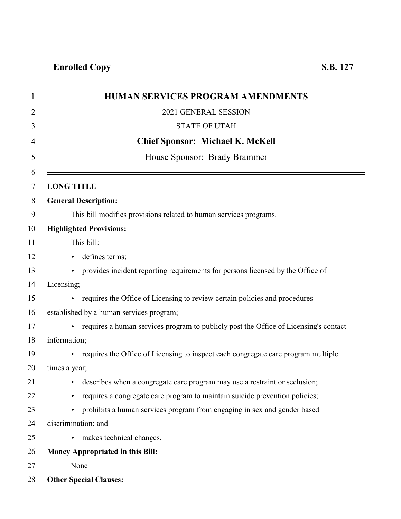| <b>HUMAN SERVICES PROGRAM AMENDMENTS</b>                                             |
|--------------------------------------------------------------------------------------|
| 2021 GENERAL SESSION                                                                 |
| <b>STATE OF UTAH</b>                                                                 |
| <b>Chief Sponsor: Michael K. McKell</b>                                              |
| House Sponsor: Brady Brammer                                                         |
|                                                                                      |
| <b>LONG TITLE</b>                                                                    |
| <b>General Description:</b>                                                          |
| This bill modifies provisions related to human services programs.                    |
| <b>Highlighted Provisions:</b>                                                       |
| This bill:                                                                           |
| defines terms;                                                                       |
| provides incident reporting requirements for persons licensed by the Office of<br>►  |
| Licensing;                                                                           |
| requires the Office of Licensing to review certain policies and procedures           |
| established by a human services program;                                             |
| requires a human services program to publicly post the Office of Licensing's contact |
| information;                                                                         |
| requires the Office of Licensing to inspect each congregate care program multiple    |
| times a year;                                                                        |
| • describes when a congregate care program may use a restraint or seclusion;         |
| requires a congregate care program to maintain suicide prevention policies;          |
| prohibits a human services program from engaging in sex and gender based             |
| discrimination; and                                                                  |
| makes technical changes.                                                             |
| <b>Money Appropriated in this Bill:</b>                                              |
| None                                                                                 |
| <b>Other Special Clauses:</b>                                                        |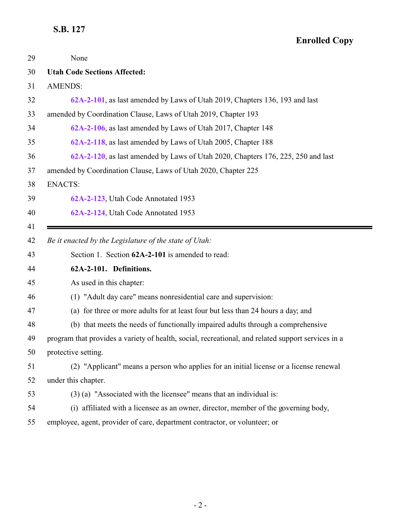<span id="page-1-0"></span>

| 29 | None                                                                                               |
|----|----------------------------------------------------------------------------------------------------|
| 30 | <b>Utah Code Sections Affected:</b>                                                                |
| 31 | <b>AMENDS:</b>                                                                                     |
| 32 | 62A-2-101, as last amended by Laws of Utah 2019, Chapters 136, 193 and last                        |
| 33 | amended by Coordination Clause, Laws of Utah 2019, Chapter 193                                     |
| 34 | 62A-2-106, as last amended by Laws of Utah 2017, Chapter 148                                       |
| 35 | 62A-2-118, as last amended by Laws of Utah 2005, Chapter 188                                       |
| 36 | 62A-2-120, as last amended by Laws of Utah 2020, Chapters 176, 225, 250 and last                   |
| 37 | amended by Coordination Clause, Laws of Utah 2020, Chapter 225                                     |
| 38 | <b>ENACTS:</b>                                                                                     |
| 39 | 62A-2-123, Utah Code Annotated 1953                                                                |
| 40 | 62A-2-124, Utah Code Annotated 1953                                                                |
| 41 |                                                                                                    |
| 42 | Be it enacted by the Legislature of the state of Utah:                                             |
| 43 | Section 1. Section 62A-2-101 is amended to read:                                                   |
| 44 | 62A-2-101. Definitions.                                                                            |
| 45 | As used in this chapter:                                                                           |
| 46 | (1) "Adult day care" means nonresidential care and supervision:                                    |
| 47 | (a) for three or more adults for at least four but less than 24 hours a day; and                   |
| 48 | (b) that meets the needs of functionally impaired adults through a comprehensive                   |
| 49 | program that provides a variety of health, social, recreational, and related support services in a |
| 50 | protective setting.                                                                                |
| 51 | (2) "Applicant" means a person who applies for an initial license or a license renewal             |
| 52 | under this chapter.                                                                                |
| 53 | $(3)$ (a) "Associated with the licensee" means that an individual is:                              |
| 54 | (i) affiliated with a licensee as an owner, director, member of the governing body,                |
| 55 | employee, agent, provider of care, department contractor, or volunteer; or                         |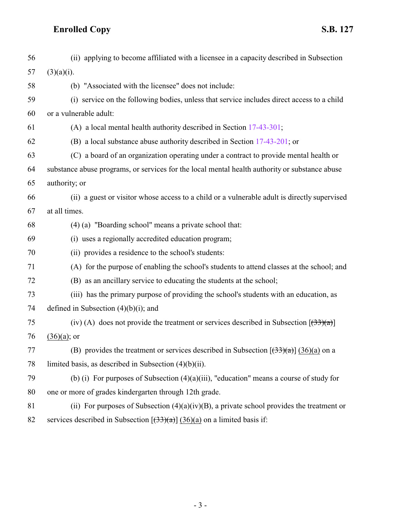| 56 | (ii) applying to become affiliated with a licensee in a capacity described in Subsection       |
|----|------------------------------------------------------------------------------------------------|
| 57 | $(3)(a)(i)$ .                                                                                  |
| 58 | (b) "Associated with the licensee" does not include:                                           |
| 59 | (i) service on the following bodies, unless that service includes direct access to a child     |
| 60 | or a vulnerable adult:                                                                         |
| 61 | (A) a local mental health authority described in Section 17-43-301;                            |
| 62 | (B) a local substance abuse authority described in Section 17-43-201; or                       |
| 63 | (C) a board of an organization operating under a contract to provide mental health or          |
| 64 | substance abuse programs, or services for the local mental health authority or substance abuse |
| 65 | authority; or                                                                                  |
| 66 | (ii) a guest or visitor whose access to a child or a vulnerable adult is directly supervised   |
| 67 | at all times.                                                                                  |
| 68 | (4) (a) "Boarding school" means a private school that:                                         |
| 69 | (i) uses a regionally accredited education program;                                            |
| 70 | (ii) provides a residence to the school's students:                                            |
| 71 | (A) for the purpose of enabling the school's students to attend classes at the school; and     |
| 72 | (B) as an ancillary service to educating the students at the school;                           |
| 73 | (iii) has the primary purpose of providing the school's students with an education, as         |
| 74 | defined in Subsection $(4)(b)(i)$ ; and                                                        |
| 75 | (iv) (A) does not provide the treatment or services described in Subsection $[(33)(a)]$        |
| 76 | $(36)(a)$ ; or                                                                                 |
| 77 | (B) provides the treatment or services described in Subsection $[(33)(a)]$ (36)(a) on a        |
| 78 | limited basis, as described in Subsection $(4)(b)(ii)$ .                                       |
| 79 | (b) (i) For purposes of Subsection $(4)(a)(iii)$ , "education" means a course of study for     |
| 80 | one or more of grades kindergarten through 12th grade.                                         |
| 81 | (ii) For purposes of Subsection $(4)(a)(iv)(B)$ , a private school provides the treatment or   |

82 services described in Subsection  $[(33)(a)] (36)(a)$  on a limited basis if: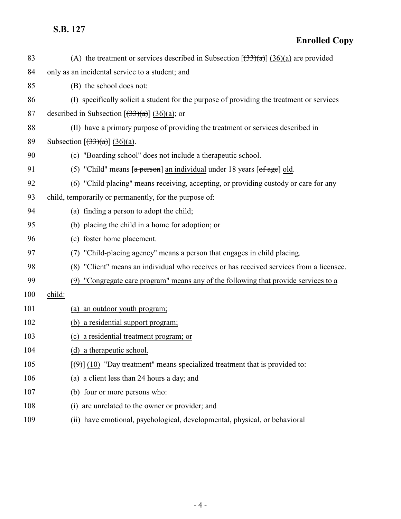| 83  | (A) the treatment or services described in Subsection $[(33)(a)]$ (36)(a) are provided         |
|-----|------------------------------------------------------------------------------------------------|
| 84  | only as an incidental service to a student; and                                                |
| 85  | (B) the school does not:                                                                       |
| 86  | (I) specifically solicit a student for the purpose of providing the treatment or services      |
| 87  | described in Subsection $[\left(\frac{33}{\alpha}\right)] \left(\frac{36}{\alpha}\right)$ ; or |
| 88  | (II) have a primary purpose of providing the treatment or services described in                |
| 89  | Subsection $\left[\frac{33}{a}\right]$ (36)(a).                                                |
| 90  | (c) "Boarding school" does not include a therapeutic school.                                   |
| 91  | (5) "Child" means [a person] an individual under 18 years [of age] old.                        |
| 92  | (6) "Child placing" means receiving, accepting, or providing custody or care for any           |
| 93  | child, temporarily or permanently, for the purpose of:                                         |
| 94  | (a) finding a person to adopt the child;                                                       |
| 95  | (b) placing the child in a home for adoption; or                                               |
| 96  | (c) foster home placement.                                                                     |
| 97  | (7) "Child-placing agency" means a person that engages in child placing.                       |
| 98  | (8) "Client" means an individual who receives or has received services from a licensee.        |
| 99  | (9) "Congregate care program" means any of the following that provide services to a            |
| 100 | child:                                                                                         |
| 101 | (a) an outdoor youth program;                                                                  |
| 102 | (b) a residential support program;                                                             |
| 103 | (c) a residential treatment program; or                                                        |
| 104 | (d) a therapeutic school.                                                                      |
| 105 | $[\langle 9 \rangle]$ (10) "Day treatment" means specialized treatment that is provided to:    |
| 106 | (a) a client less than 24 hours a day; and                                                     |
| 107 | (b) four or more persons who:                                                                  |
| 108 | (i) are unrelated to the owner or provider; and                                                |
| 109 | (ii) have emotional, psychological, developmental, physical, or behavioral                     |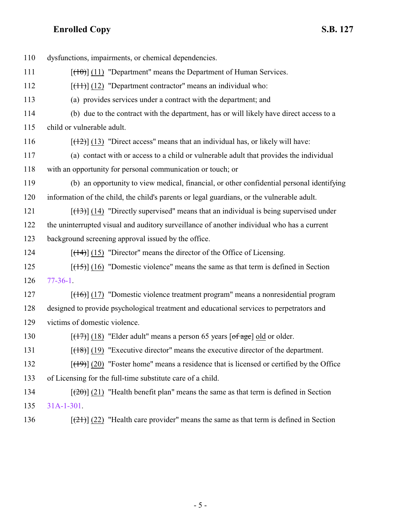| 110 | dysfunctions, impairments, or chemical dependencies.                                           |
|-----|------------------------------------------------------------------------------------------------|
| 111 | $[$ (10) $]$ (11) "Department" means the Department of Human Services.                         |
| 112 | $[$ (14+)] (12) "Department contractor" means an individual who:                               |
| 113 | (a) provides services under a contract with the department; and                                |
| 114 | (b) due to the contract with the department, has or will likely have direct access to a        |
| 115 | child or vulnerable adult.                                                                     |
| 116 | $[$ (12) $]$ (13) "Direct access" means that an individual has, or likely will have:           |
| 117 | (a) contact with or access to a child or vulnerable adult that provides the individual         |
| 118 | with an opportunity for personal communication or touch; or                                    |
| 119 | (b) an opportunity to view medical, financial, or other confidential personal identifying      |
| 120 | information of the child, the child's parents or legal guardians, or the vulnerable adult.     |
| 121 | $[ (13) ]$ (14) "Directly supervised" means that an individual is being supervised under       |
| 122 | the uninterrupted visual and auditory surveillance of another individual who has a current     |
| 123 | background screening approval issued by the office.                                            |
| 124 | $[$ (14+)] (15) "Director" means the director of the Office of Licensing.                      |
| 125 | $[ (15) ] (16)$ "Domestic violence" means the same as that term is defined in Section          |
| 126 | $77-36-1$ .                                                                                    |
| 127 | $[ (16) ]$ (17) "Domestic violence treatment program" means a nonresidential program           |
| 128 | designed to provide psychological treatment and educational services to perpetrators and       |
| 129 | victims of domestic violence.                                                                  |
| 130 | $[\frac{17}{12}]$ (18) "Elder adult" means a person 65 years [of age] old or older.            |
| 131 | $[ (18) ]$ (19) "Executive director" means the executive director of the department.           |
| 132 | $[$ (49)] (20) "Foster home" means a residence that is licensed or certified by the Office     |
| 133 | of Licensing for the full-time substitute care of a child.                                     |
| 134 | $[\frac{1}{20}]$ (21) "Health benefit plan" means the same as that term is defined in Section  |
| 135 | $31A-1-301$ .                                                                                  |
| 136 | $[\frac{(21)}{(22)}]$ "Health care provider" means the same as that term is defined in Section |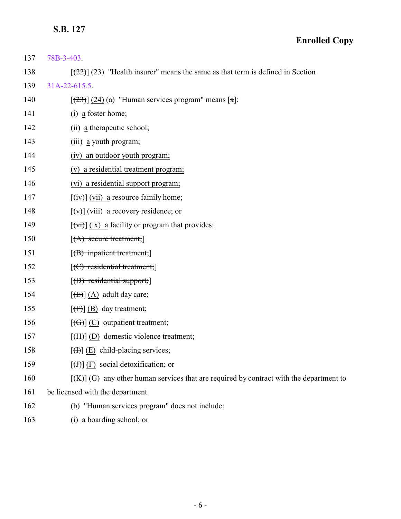- **Enrolled Copy**
- 137 [78B-3-403](http://le.utah.gov/UtahCode/SectionLookup.jsp?section=78b-3-403&session=2021GS). 138  $[(22)(23)$  "Health insurer" means the same as that term is defined in Section 139 [31A-22-615.5](http://le.utah.gov/UtahCode/SectionLookup.jsp?section=31a-22-615.5&session=2021GS). 140  $[(23)(24)(a)$  "Human services program" means  $[a]$ : 141 (i) a foster home; 142 (ii) a therapeutic school; 143 (iii) a youth program; 144 (iv) an outdoor youth program; 145 (v) a residential treatment program; 146 (vi) a residential support program; 147  $[(iv)]$  (vii) a resource family home; 148  $[\forall \forall]$  (viii) a recovery residence; or 149  $[(\overrightarrow{v_i})](ix)$  a facility or program that provides: 150  $[(A)$  secure treatment; 151 [(B) inpatient treatment; 152 [(C) residential treatment; 153  $[(D)$  residential support; 154  $[\left(\text{E}\right)]$  (A) adult day care; 155  $\left[\left(\overline{f}\right)\right]$  (B) day treatment; 156  $[(G)]$  (C) outpatient treatment; 157 [<del>(H)</del>] (D) domestic violence treatment; 158  $[\text{H}](E)$  child-placing services; 159  $[\text{)}$  (F) social detoxification; or 160  $[(K)]$  (G) any other human services that are required by contract with the department to 161 be licensed with the department. 162 (b) "Human services program" does not include:
	- 163 (i) a boarding school; or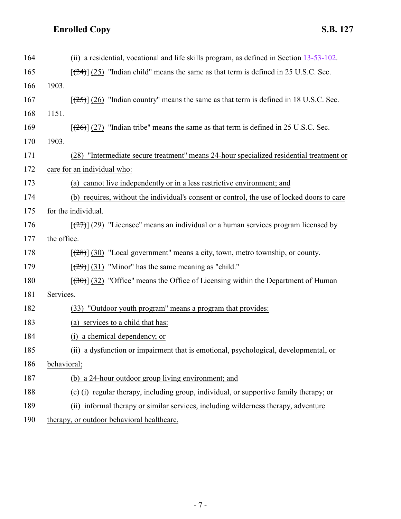| 164 | (ii) a residential, vocational and life skills program, as defined in Section $13-53-102$ . |
|-----|---------------------------------------------------------------------------------------------|
| 165 | $[24]$ (25) "Indian child" means the same as that term is defined in 25 U.S.C. Sec.         |
| 166 | 1903.                                                                                       |
| 167 | $[25]$ (26) "Indian country" means the same as that term is defined in 18 U.S.C. Sec.       |
| 168 | 1151.                                                                                       |
| 169 | $[26]$ (27) "Indian tribe" means the same as that term is defined in 25 U.S.C. Sec.         |
| 170 | 1903.                                                                                       |
| 171 | (28) "Intermediate secure treatment" means 24-hour specialized residential treatment or     |
| 172 | care for an individual who:                                                                 |
| 173 | (a) cannot live independently or in a less restrictive environment; and                     |
| 174 | (b) requires, without the individual's consent or control, the use of locked doors to care  |
| 175 | for the individual.                                                                         |
| 176 | $[27]$ (29) "Licensee" means an individual or a human services program licensed by          |
| 177 | the office.                                                                                 |
| 178 | $[ (28) ]$ (30) "Local government" means a city, town, metro township, or county.           |
| 179 | $[\frac{29}{31}]$ (31) "Minor" has the same meaning as "child."                             |
| 180 | $[30, 32, 32, 10]$ "Office" means the Office of Licensing within the Department of Human    |
| 181 | Services.                                                                                   |
| 182 | "Outdoor youth program" means a program that provides:<br>(33)                              |
| 183 | (a) services to a child that has:                                                           |
| 184 | a chemical dependency; or                                                                   |
| 185 | (ii) a dysfunction or impairment that is emotional, psychological, developmental, or        |
| 186 | behavioral;                                                                                 |
| 187 | (b) a 24-hour outdoor group living environment; and                                         |
| 188 | (c) (i) regular therapy, including group, individual, or supportive family therapy; or      |
| 189 | (ii) informal therapy or similar services, including wilderness therapy, adventure          |
| 190 | therapy, or outdoor behavioral healthcare.                                                  |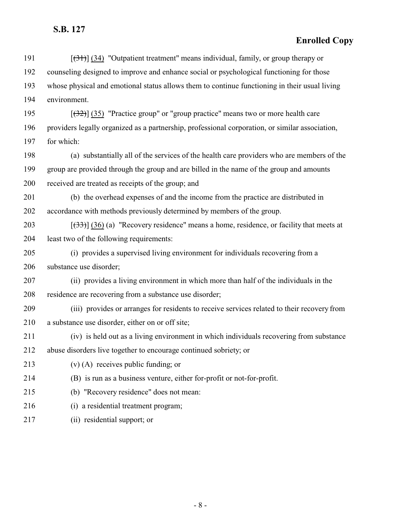| 191 | $[34]$ (34) "Outpatient treatment" means individual, family, or group therapy or                |
|-----|-------------------------------------------------------------------------------------------------|
| 192 | counseling designed to improve and enhance social or psychological functioning for those        |
| 193 | whose physical and emotional status allows them to continue functioning in their usual living   |
| 194 | environment.                                                                                    |
| 195 | $[32]$ (35) "Practice group" or "group practice" means two or more health care                  |
| 196 | providers legally organized as a partnership, professional corporation, or similar association, |
| 197 | for which:                                                                                      |
| 198 | (a) substantially all of the services of the health care providers who are members of the       |
| 199 | group are provided through the group and are billed in the name of the group and amounts        |
| 200 | received are treated as receipts of the group; and                                              |
| 201 | (b) the overhead expenses of and the income from the practice are distributed in                |
| 202 | accordance with methods previously determined by members of the group.                          |
| 203 | $[33]$ (36) (a) "Recovery residence" means a home, residence, or facility that meets at         |
| 204 | least two of the following requirements:                                                        |
| 205 | (i) provides a supervised living environment for individuals recovering from a                  |
| 206 | substance use disorder;                                                                         |
| 207 | (ii) provides a living environment in which more than half of the individuals in the            |
| 208 | residence are recovering from a substance use disorder;                                         |
| 209 | (iii) provides or arranges for residents to receive services related to their recovery from     |
| 210 | a substance use disorder, either on or off site;                                                |
| 211 | (iv) is held out as a living environment in which individuals recovering from substance         |
| 212 | abuse disorders live together to encourage continued sobriety; or                               |
| 213 | $(v)$ (A) receives public funding; or                                                           |
| 214 | (B) is run as a business venture, either for-profit or not-for-profit.                          |
| 215 | (b) "Recovery residence" does not mean:                                                         |
| 216 | (i) a residential treatment program;                                                            |
| 217 | (ii) residential support; or                                                                    |
|     |                                                                                                 |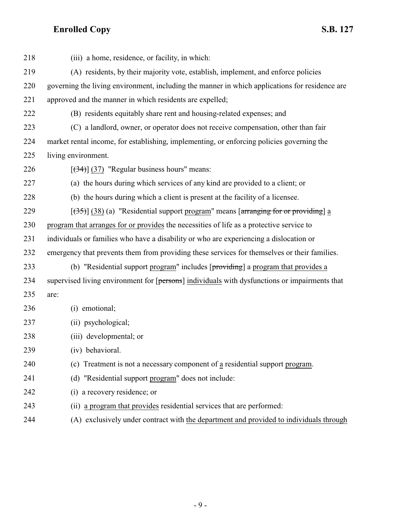| 218 | (iii) a home, residence, or facility, in which:                                                |
|-----|------------------------------------------------------------------------------------------------|
| 219 | (A) residents, by their majority vote, establish, implement, and enforce policies              |
| 220 | governing the living environment, including the manner in which applications for residence are |
| 221 | approved and the manner in which residents are expelled;                                       |
| 222 | (B) residents equitably share rent and housing-related expenses; and                           |
| 223 | (C) a landlord, owner, or operator does not receive compensation, other than fair              |
| 224 | market rental income, for establishing, implementing, or enforcing policies governing the      |
| 225 | living environment.                                                                            |
| 226 | $[ (34) ]$ (37) "Regular business hours" means:                                                |
| 227 | (a) the hours during which services of any kind are provided to a client; or                   |
| 228 | (b) the hours during which a client is present at the facility of a licensee.                  |
| 229 | $[35]$ (38) (a) "Residential support program" means [arranging for or providing] a             |
| 230 | program that arranges for or provides the necessities of life as a protective service to       |
| 231 | individuals or families who have a disability or who are experiencing a dislocation or         |
| 232 | emergency that prevents them from providing these services for themselves or their families.   |
| 233 | (b) "Residential support program" includes [providing] a program that provides a               |
| 234 | supervised living environment for [persons] individuals with dysfunctions or impairments that  |
| 235 | are:                                                                                           |
| 236 | (i) emotional;                                                                                 |
| 237 | (ii) psychological;                                                                            |
| 238 | (iii) developmental; or                                                                        |
| 239 | (iv) behavioral.                                                                               |
| 240 | (c) Treatment is not a necessary component of a residential support program.                   |
| 241 | (d) "Residential support program" does not include:                                            |
| 242 | (i) a recovery residence; or                                                                   |
| 243 | (ii) a program that provides residential services that are performed:                          |
| 244 | (A) exclusively under contract with the department and provided to individuals through         |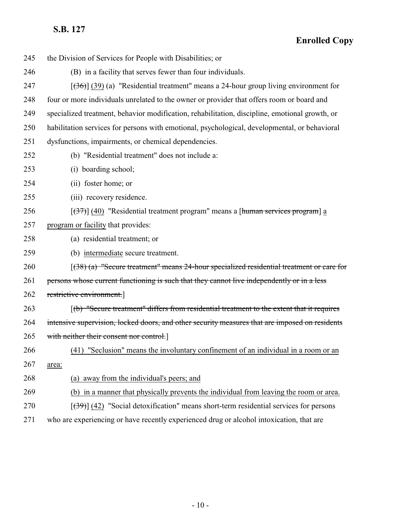| 245 | the Division of Services for People with Disabilities; or                                      |
|-----|------------------------------------------------------------------------------------------------|
| 246 | (B) in a facility that serves fewer than four individuals.                                     |
| 247 | $[36]$ (39) (a) "Residential treatment" means a 24-hour group living environment for           |
| 248 | four or more individuals unrelated to the owner or provider that offers room or board and      |
| 249 | specialized treatment, behavior modification, rehabilitation, discipline, emotional growth, or |
| 250 | habilitation services for persons with emotional, psychological, developmental, or behavioral  |
| 251 | dysfunctions, impairments, or chemical dependencies.                                           |
| 252 | (b) "Residential treatment" does not include a:                                                |
| 253 | (i) boarding school;                                                                           |
| 254 | (ii) foster home; or                                                                           |
| 255 | (iii) recovery residence.                                                                      |
| 256 | $[37]$ (40) "Residential treatment program" means a [human services program] a                 |
| 257 | program or facility that provides:                                                             |
| 258 | (a) residential treatment; or                                                                  |
| 259 | (b) intermediate secure treatment.                                                             |
| 260 | $(38)$ (a) "Secure treatment" means 24-hour specialized residential treatment or care for      |
| 261 | persons whose current functioning is such that they cannot live independently or in a less     |
| 262 | restrictive environment.                                                                       |
| 263 | (b) "Secure treatment" differs from residential treatment to the extent that it requires       |
| 264 | intensive supervision, locked doors, and other security measures that are imposed on residents |
| 265 | with neither their consent nor control.]                                                       |
| 266 | (41) "Seclusion" means the involuntary confinement of an individual in a room or an            |
| 267 | area:                                                                                          |
| 268 | (a) away from the individual's peers; and                                                      |
| 269 | (b) in a manner that physically prevents the individual from leaving the room or area.         |
| 270 | $[39]$ (42) "Social detoxification" means short-term residential services for persons          |
| 271 | who are experiencing or have recently experienced drug or alcohol intoxication, that are       |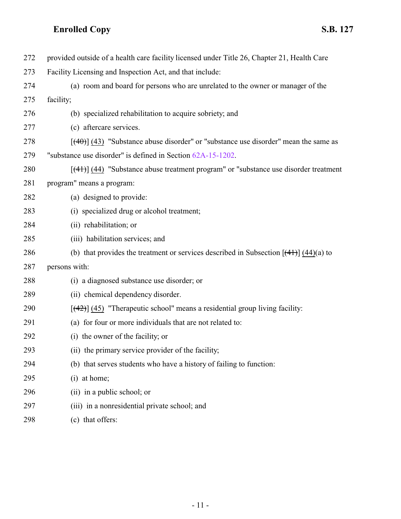| 272 | provided outside of a health care facility licensed under Title 26, Chapter 21, Health Care |
|-----|---------------------------------------------------------------------------------------------|
| 273 | Facility Licensing and Inspection Act, and that include:                                    |
| 274 | (a) room and board for persons who are unrelated to the owner or manager of the             |
| 275 | facility;                                                                                   |
| 276 | (b) specialized rehabilitation to acquire sobriety; and                                     |
| 277 | (c) aftercare services.                                                                     |
| 278 | $[40]$ (43) "Substance abuse disorder" or "substance use disorder" mean the same as         |
| 279 | "substance use disorder" is defined in Section 62A-15-1202.                                 |
| 280 | $[$ (44) (44) "Substance abuse treatment program" or "substance use disorder treatment      |
| 281 | program" means a program:                                                                   |
| 282 | (a) designed to provide:                                                                    |
| 283 | (i) specialized drug or alcohol treatment;                                                  |
| 284 | (ii) rehabilitation; or                                                                     |
| 285 | (iii) habilitation services; and                                                            |
| 286 | (b) that provides the treatment or services described in Subsection $[(41)(44)]$ (44)(a) to |
| 287 | persons with:                                                                               |
| 288 | (i) a diagnosed substance use disorder; or                                                  |
| 289 | (ii) chemical dependency disorder.                                                          |
| 290 | $[$ (42) $]$ (45) "Therapeutic school" means a residential group living facility:           |
| 291 | (a) for four or more individuals that are not related to:                                   |
| 292 | (i) the owner of the facility; or                                                           |
| 293 | (ii) the primary service provider of the facility;                                          |
| 294 | (b) that serves students who have a history of failing to function:                         |
| 295 | $(i)$ at home;                                                                              |
| 296 | (ii) in a public school; or                                                                 |
| 297 | (iii) in a nonresidential private school; and                                               |
| 298 | (c) that offers:                                                                            |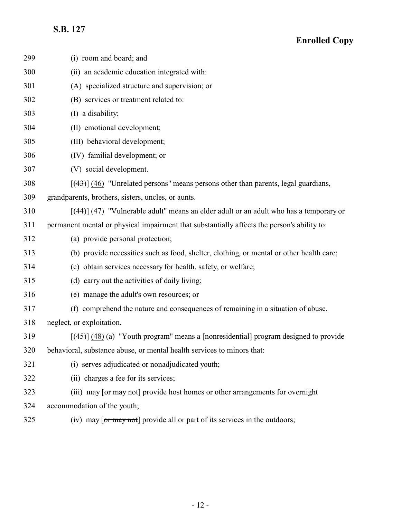| 299 | (i) room and board; and                                                                                |
|-----|--------------------------------------------------------------------------------------------------------|
| 300 | (ii) an academic education integrated with:                                                            |
| 301 | (A) specialized structure and supervision; or                                                          |
| 302 | (B) services or treatment related to:                                                                  |
| 303 | (I) a disability;                                                                                      |
| 304 | (II) emotional development;                                                                            |
| 305 | (III) behavioral development;                                                                          |
| 306 | (IV) familial development; or                                                                          |
| 307 | (V) social development.                                                                                |
| 308 | $[$ (43)] (46) "Unrelated persons" means persons other than parents, legal guardians,                  |
| 309 | grandparents, brothers, sisters, uncles, or aunts.                                                     |
| 310 | $[$ (44)] (47) "Vulnerable adult" means an elder adult or an adult who has a temporary or              |
| 311 | permanent mental or physical impairment that substantially affects the person's ability to:            |
| 312 | (a) provide personal protection;                                                                       |
| 313 | (b) provide necessities such as food, shelter, clothing, or mental or other health care;               |
| 314 | (c) obtain services necessary for health, safety, or welfare;                                          |
| 315 | (d) carry out the activities of daily living;                                                          |
| 316 | (e) manage the adult's own resources; or                                                               |
| 317 | (f) comprehend the nature and consequences of remaining in a situation of abuse,                       |
| 318 | neglect, or exploitation.                                                                              |
| 319 | $[$ (45)] (48) (a) "Youth program" means a [nonresidential] program designed to provide                |
| 320 | behavioral, substance abuse, or mental health services to minors that:                                 |
| 321 | (i) serves adjudicated or nonadjudicated youth;                                                        |
| 322 | (ii) charges a fee for its services;                                                                   |
| 323 | (iii) may [or may not] provide host homes or other arrangements for overnight                          |
| 324 | accommodation of the youth;                                                                            |
| 325 | (iv) may $\lceil \text{or} \text{may not} \rceil$ provide all or part of its services in the outdoors; |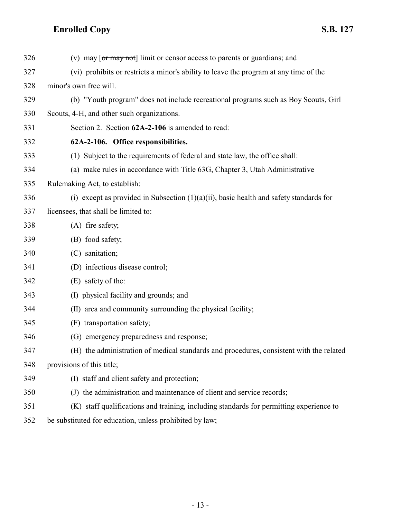<span id="page-12-0"></span>

| 326 | (v) may $\lceil \text{or } \text{may not} \rceil$ limit or censor access to parents or guardians; and |
|-----|-------------------------------------------------------------------------------------------------------|
| 327 | (vi) prohibits or restricts a minor's ability to leave the program at any time of the                 |
| 328 | minor's own free will.                                                                                |
| 329 | (b) "Youth program" does not include recreational programs such as Boy Scouts, Girl                   |
| 330 | Scouts, 4-H, and other such organizations.                                                            |
| 331 | Section 2. Section 62A-2-106 is amended to read:                                                      |
| 332 | 62A-2-106. Office responsibilities.                                                                   |
| 333 | (1) Subject to the requirements of federal and state law, the office shall:                           |
| 334 | (a) make rules in accordance with Title 63G, Chapter 3, Utah Administrative                           |
| 335 | Rulemaking Act, to establish:                                                                         |
| 336 | (i) except as provided in Subsection $(1)(a)(ii)$ , basic health and safety standards for             |
| 337 | licensees, that shall be limited to:                                                                  |
| 338 | (A) fire safety;                                                                                      |
| 339 | (B) food safety;                                                                                      |
| 340 | (C) sanitation;                                                                                       |
| 341 | (D) infectious disease control;                                                                       |
| 342 | (E) safety of the:                                                                                    |
| 343 | (I) physical facility and grounds; and                                                                |
| 344 | (II) area and community surrounding the physical facility;                                            |
| 345 | transportation safety;<br>(F)                                                                         |
| 346 | (G) emergency preparedness and response;                                                              |
| 347 | (H) the administration of medical standards and procedures, consistent with the related               |
| 348 | provisions of this title;                                                                             |
| 349 | (I) staff and client safety and protection;                                                           |
| 350 | (J) the administration and maintenance of client and service records;                                 |
| 351 | (K) staff qualifications and training, including standards for permitting experience to               |
| 352 | be substituted for education, unless prohibited by law;                                               |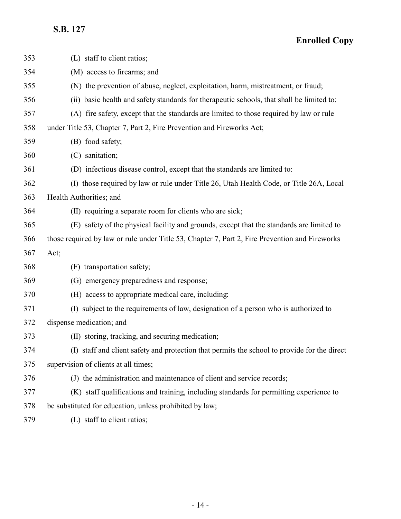| 353 | (L) staff to client ratios;                                                                    |
|-----|------------------------------------------------------------------------------------------------|
| 354 | (M) access to firearms; and                                                                    |
| 355 | (N) the prevention of abuse, neglect, exploitation, harm, mistreatment, or fraud;              |
| 356 | (ii) basic health and safety standards for therapeutic schools, that shall be limited to:      |
| 357 | (A) fire safety, except that the standards are limited to those required by law or rule        |
| 358 | under Title 53, Chapter 7, Part 2, Fire Prevention and Fireworks Act;                          |
| 359 | (B) food safety;                                                                               |
| 360 | (C) sanitation;                                                                                |
| 361 | (D) infectious disease control, except that the standards are limited to:                      |
| 362 | (I) those required by law or rule under Title 26, Utah Health Code, or Title 26A, Local        |
| 363 | Health Authorities; and                                                                        |
| 364 | (II) requiring a separate room for clients who are sick;                                       |
| 365 | (E) safety of the physical facility and grounds, except that the standards are limited to      |
| 366 | those required by law or rule under Title 53, Chapter 7, Part 2, Fire Prevention and Fireworks |
| 367 | Act;                                                                                           |
| 368 | (F) transportation safety;                                                                     |
| 369 | (G) emergency preparedness and response;                                                       |
| 370 | (H) access to appropriate medical care, including:                                             |
| 371 | (I) subject to the requirements of law, designation of a person who is authorized to           |
| 372 | dispense medication; and                                                                       |
| 373 | (II) storing, tracking, and securing medication;                                               |
| 374 | (I) staff and client safety and protection that permits the school to provide for the direct   |
| 375 | supervision of clients at all times;                                                           |
| 376 | (J) the administration and maintenance of client and service records;                          |
| 377 | (K) staff qualifications and training, including standards for permitting experience to        |
| 378 | be substituted for education, unless prohibited by law;                                        |
| 379 | (L) staff to client ratios;                                                                    |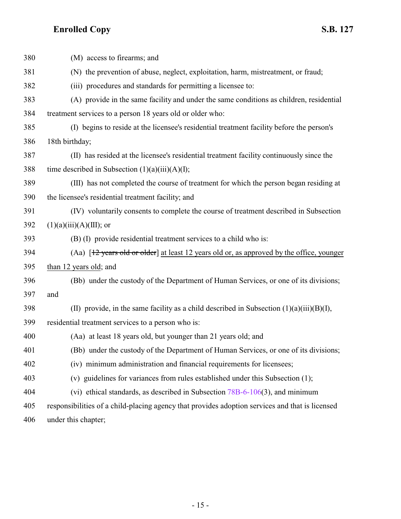| 380 | (M) access to firearms; and                                                                                              |
|-----|--------------------------------------------------------------------------------------------------------------------------|
| 381 | (N) the prevention of abuse, neglect, exploitation, harm, mistreatment, or fraud;                                        |
| 382 | (iii) procedures and standards for permitting a licensee to:                                                             |
| 383 | (A) provide in the same facility and under the same conditions as children, residential                                  |
| 384 | treatment services to a person 18 years old or older who:                                                                |
| 385 | (I) begins to reside at the licensee's residential treatment facility before the person's                                |
| 386 | 18th birthday;                                                                                                           |
| 387 | (II) has resided at the licensee's residential treatment facility continuously since the                                 |
| 388 | time described in Subsection $(1)(a)(iii)(A)(I);$                                                                        |
| 389 | (III) has not completed the course of treatment for which the person began residing at                                   |
| 390 | the licensee's residential treatment facility; and                                                                       |
| 391 | (IV) voluntarily consents to complete the course of treatment described in Subsection                                    |
| 392 | $(1)(a)(iii)(A)(III);$ or                                                                                                |
| 393 | (B) (I) provide residential treatment services to a child who is:                                                        |
| 394 | (Aa) $\left[\frac{12 \text{ years old or older}}{2}\right]$ at least 12 years old or, as approved by the office, younger |
| 395 | than 12 years old; and                                                                                                   |
| 396 | (Bb) under the custody of the Department of Human Services, or one of its divisions;                                     |
| 397 | and                                                                                                                      |
| 398 | (II) provide, in the same facility as a child described in Subsection $(1)(a)(iii)(B)(I)$ ,                              |
| 399 | residential treatment services to a person who is:                                                                       |
| 400 | (Aa) at least 18 years old, but younger than 21 years old; and                                                           |
| 401 | (Bb) under the custody of the Department of Human Services, or one of its divisions;                                     |
| 402 | (iv) minimum administration and financial requirements for licensees;                                                    |
| 403 | (v) guidelines for variances from rules established under this Subsection (1);                                           |
| 404 | (vi) ethical standards, as described in Subsection $78B-6-106(3)$ , and minimum                                          |
| 405 | responsibilities of a child-placing agency that provides adoption services and that is licensed                          |
| 406 | under this chapter;                                                                                                      |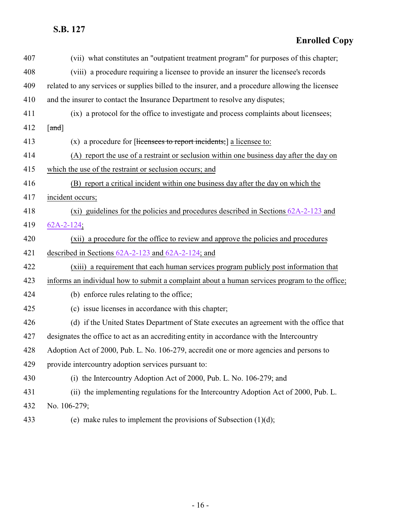| 407 | (vii) what constitutes an "outpatient treatment program" for purposes of this chapter;           |
|-----|--------------------------------------------------------------------------------------------------|
| 408 | (viii) a procedure requiring a licensee to provide an insurer the licensee's records             |
| 409 | related to any services or supplies billed to the insurer, and a procedure allowing the licensee |
| 410 | and the insurer to contact the Insurance Department to resolve any disputes;                     |
| 411 | (ix) a protocol for the office to investigate and process complaints about licensees;            |
| 412 | $\lceil \text{and} \rceil$                                                                       |
| 413 | $(x)$ a procedure for [licensees to report incidents;] a licensee to:                            |
| 414 | (A) report the use of a restraint or seclusion within one business day after the day on          |
| 415 | which the use of the restraint or seclusion occurs; and                                          |
| 416 | (B) report a critical incident within one business day after the day on which the                |
| 417 | incident occurs;                                                                                 |
| 418 | (xi) guidelines for the policies and procedures described in Sections $62A-2-123$ and            |
| 419 | $62A-2-124$ ;                                                                                    |
| 420 | (xii) a procedure for the office to review and approve the policies and procedures               |
| 421 | described in Sections $62A-2-123$ and $62A-2-124$ ; and                                          |
| 422 | (xiii) a requirement that each human services program publicly post information that             |
| 423 | informs an individual how to submit a complaint about a human services program to the office;    |
| 424 | (b) enforce rules relating to the office;                                                        |
| 425 | (c) issue licenses in accordance with this chapter;                                              |
| 426 | (d) if the United States Department of State executes an agreement with the office that          |
| 427 | designates the office to act as an accrediting entity in accordance with the Intercountry        |
| 428 | Adoption Act of 2000, Pub. L. No. 106-279, accredit one or more agencies and persons to          |
| 429 | provide intercountry adoption services pursuant to:                                              |
| 430 | (i) the Intercountry Adoption Act of 2000, Pub. L. No. 106-279; and                              |
| 431 | (ii) the implementing regulations for the Intercountry Adoption Act of 2000, Pub. L.             |
| 432 | No. 106-279;                                                                                     |
| 433 | (e) make rules to implement the provisions of Subsection $(1)(d)$ ;                              |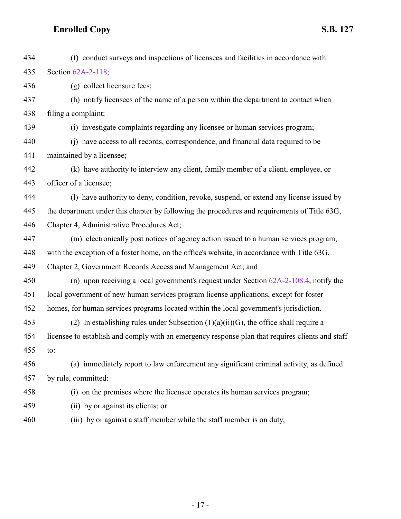| 434 | (f) conduct surveys and inspections of licensees and facilities in accordance with               |
|-----|--------------------------------------------------------------------------------------------------|
| 435 | Section 62A-2-118;                                                                               |
| 436 | (g) collect licensure fees;                                                                      |
| 437 | (h) notify licensees of the name of a person within the department to contact when               |
| 438 | filing a complaint;                                                                              |
| 439 | (i) investigate complaints regarding any licensee or human services program;                     |
| 440 | (i) have access to all records, correspondence, and financial data required to be                |
| 441 | maintained by a licensee;                                                                        |
| 442 | (k) have authority to interview any client, family member of a client, employee, or              |
| 443 | officer of a licensee;                                                                           |
| 444 | (1) have authority to deny, condition, revoke, suspend, or extend any license issued by          |
| 445 | the department under this chapter by following the procedures and requirements of Title 63G,     |
| 446 | Chapter 4, Administrative Procedures Act;                                                        |
| 447 | (m) electronically post notices of agency action issued to a human services program,             |
| 448 | with the exception of a foster home, on the office's website, in accordance with Title 63G,      |
| 449 | Chapter 2, Government Records Access and Management Act; and                                     |
| 450 | (n) upon receiving a local government's request under Section $62A-2-108.4$ , notify the         |
| 451 | local government of new human services program license applications, except for foster           |
| 452 | homes, for human services programs located within the local government's jurisdiction.           |
| 453 | (2) In establishing rules under Subsection $(1)(a)(ii)(G)$ , the office shall require a          |
| 454 | licensee to establish and comply with an emergency response plan that requires clients and staff |
| 455 | to:                                                                                              |
| 456 | (a) immediately report to law enforcement any significant criminal activity, as defined          |
| 457 | by rule, committed:                                                                              |
| 458 | (i) on the premises where the licensee operates its human services program;                      |
| 459 | (ii) by or against its clients; or                                                               |
| 460 | (iii) by or against a staff member while the staff member is on duty;                            |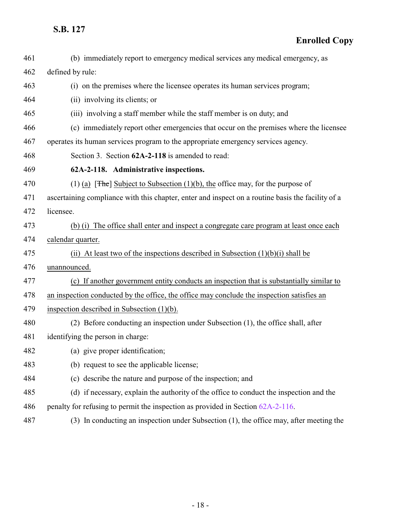<span id="page-17-0"></span>

| 461 | (b) immediately report to emergency medical services any medical emergency, as                    |
|-----|---------------------------------------------------------------------------------------------------|
| 462 | defined by rule:                                                                                  |
| 463 | (i) on the premises where the licensee operates its human services program;                       |
| 464 | (ii) involving its clients; or                                                                    |
| 465 | (iii) involving a staff member while the staff member is on duty; and                             |
| 466 | (c) immediately report other emergencies that occur on the premises where the licensee            |
| 467 | operates its human services program to the appropriate emergency services agency.                 |
| 468 | Section 3. Section 62A-2-118 is amended to read:                                                  |
| 469 | 62A-2-118. Administrative inspections.                                                            |
| 470 | (1) (a) [ $\exists$ Fhe] Subject to Subsection (1)(b), the office may, for the purpose of         |
| 471 | ascertaining compliance with this chapter, enter and inspect on a routine basis the facility of a |
| 472 | licensee.                                                                                         |
| 473 | (b) (i) The office shall enter and inspect a congregate care program at least once each           |
| 474 | calendar quarter.                                                                                 |
| 475 | (ii) At least two of the inspections described in Subsection $(1)(b)(i)$ shall be                 |
| 476 | unannounced.                                                                                      |
| 477 | (c) If another government entity conducts an inspection that is substantially similar to          |
| 478 | an inspection conducted by the office, the office may conclude the inspection satisfies an        |
| 479 | inspection described in Subsection $(1)(b)$ .                                                     |
| 480 | (2) Before conducting an inspection under Subsection (1), the office shall, after                 |
| 481 | identifying the person in charge:                                                                 |
| 482 | (a) give proper identification;                                                                   |
| 483 | (b) request to see the applicable license;                                                        |
| 484 | (c) describe the nature and purpose of the inspection; and                                        |
| 485 | (d) if necessary, explain the authority of the office to conduct the inspection and the           |
| 486 | penalty for refusing to permit the inspection as provided in Section 62A-2-116.                   |
| 487 | (3) In conducting an inspection under Subsection (1), the office may, after meeting the           |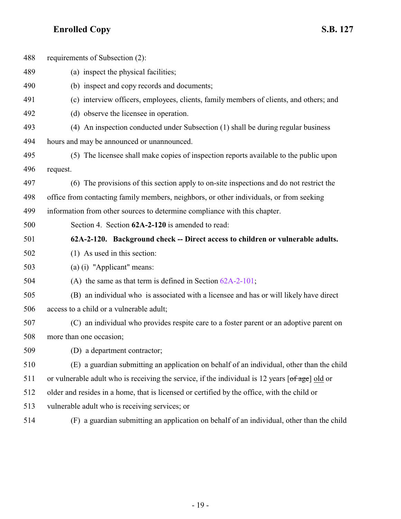<span id="page-18-0"></span>

| 488 | requirements of Subsection (2):                                                                                                            |
|-----|--------------------------------------------------------------------------------------------------------------------------------------------|
| 489 | (a) inspect the physical facilities;                                                                                                       |
| 490 | (b) inspect and copy records and documents;                                                                                                |
| 491 | (c) interview officers, employees, clients, family members of clients, and others; and                                                     |
| 492 | (d) observe the licensee in operation.                                                                                                     |
| 493 | (4) An inspection conducted under Subsection (1) shall be during regular business                                                          |
| 494 | hours and may be announced or unannounced.                                                                                                 |
| 495 | (5) The licensee shall make copies of inspection reports available to the public upon                                                      |
| 496 | request.                                                                                                                                   |
| 497 | (6) The provisions of this section apply to on-site inspections and do not restrict the                                                    |
| 498 | office from contacting family members, neighbors, or other individuals, or from seeking                                                    |
| 499 | information from other sources to determine compliance with this chapter.                                                                  |
| 500 | Section 4. Section 62A-2-120 is amended to read:                                                                                           |
| 501 | 62A-2-120. Background check -- Direct access to children or vulnerable adults.                                                             |
| 502 | $(1)$ As used in this section:                                                                                                             |
| 503 | (a) (i) "Applicant" means:                                                                                                                 |
| 504 | (A) the same as that term is defined in Section $62A-2-101$ ;                                                                              |
| 505 | (B) an individual who is associated with a licensee and has or will likely have direct                                                     |
| 506 | access to a child or a vulnerable adult;                                                                                                   |
| 507 | (C) an individual who provides respite care to a foster parent or an adoptive parent on                                                    |
| 508 | more than one occasion;                                                                                                                    |
| 509 | (D) a department contractor;                                                                                                               |
| 510 | (E) a guardian submitting an application on behalf of an individual, other than the child                                                  |
| 511 | or vulnerable adult who is receiving the service, if the individual is 12 years $\lceil \frac{\text{of age}}{\text{of age}} \rceil$ old or |
| 512 | older and resides in a home, that is licensed or certified by the office, with the child or                                                |
| 513 | vulnerable adult who is receiving services; or                                                                                             |
| 514 | (F) a guardian submitting an application on behalf of an individual, other than the child                                                  |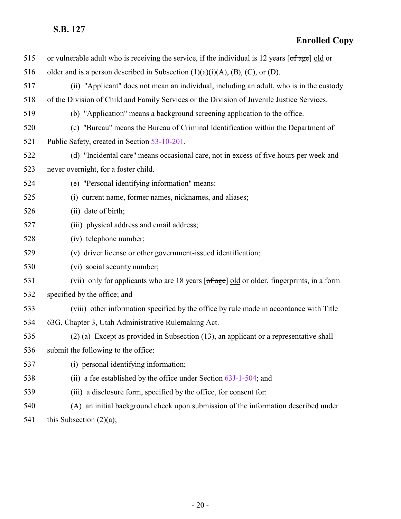## **Enrolled Copy**

| 515 | or vulnerable adult who is receiving the service, if the individual is 12 years $\lceil \frac{\text{of age}}{\text{of age}} \rceil$ old or |
|-----|--------------------------------------------------------------------------------------------------------------------------------------------|
| 516 | older and is a person described in Subsection $(1)(a)(i)(A)$ , $(B)$ , $(C)$ , or $(D)$ .                                                  |
| 517 | (ii) "Applicant" does not mean an individual, including an adult, who is in the custody                                                    |
| 518 | of the Division of Child and Family Services or the Division of Juvenile Justice Services.                                                 |
| 519 | (b) "Application" means a background screening application to the office.                                                                  |
| 520 | (c) "Bureau" means the Bureau of Criminal Identification within the Department of                                                          |
| 521 | Public Safety, created in Section 53-10-201.                                                                                               |
| 522 | (d) "Incidental care" means occasional care, not in excess of five hours per week and                                                      |
| 523 | never overnight, for a foster child.                                                                                                       |
| 524 | (e) "Personal identifying information" means:                                                                                              |
| 525 | (i) current name, former names, nicknames, and aliases;                                                                                    |
| 526 | (ii) date of birth;                                                                                                                        |
| 527 | (iii) physical address and email address;                                                                                                  |
| 528 | (iv) telephone number;                                                                                                                     |
| 529 | (v) driver license or other government-issued identification;                                                                              |
| 530 | (vi) social security number;                                                                                                               |
| 531 | (vii) only for applicants who are 18 years [of age] old or older, fingerprints, in a form                                                  |
| 532 | specified by the office; and                                                                                                               |
| 533 | (viii) other information specified by the office by rule made in accordance with Title                                                     |
| 534 | 63G, Chapter 3, Utah Administrative Rulemaking Act.                                                                                        |
| 535 | $(2)$ (a) Except as provided in Subsection (13), an applicant or a representative shall                                                    |
| 536 | submit the following to the office:                                                                                                        |
| 537 | (i) personal identifying information;                                                                                                      |
| 538 | (ii) a fee established by the office under Section $63J-1-504$ ; and                                                                       |
| 539 | (iii) a disclosure form, specified by the office, for consent for:                                                                         |
| 540 | (A) an initial background check upon submission of the information described under                                                         |
|     |                                                                                                                                            |

541 this Subsection (2)(a);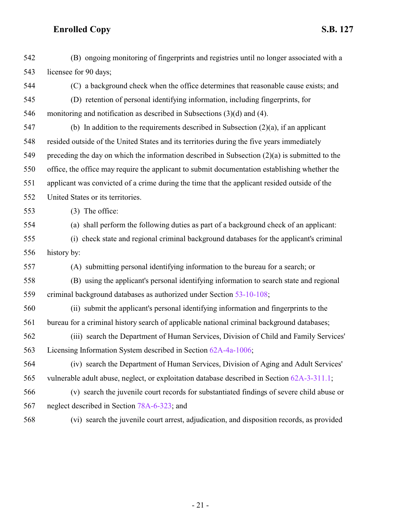(B) ongoing monitoring of fingerprints and registries until no longer associated with a licensee for 90 days;

 (C) a background check when the office determines that reasonable cause exists; and (D) retention of personal identifying information, including fingerprints, for

monitoring and notification as described in Subsections (3)(d) and (4).

 (b) In addition to the requirements described in Subsection (2)(a), if an applicant resided outside of the United States and its territories during the five years immediately preceding the day on which the information described in Subsection (2)(a) is submitted to the office, the office may require the applicant to submit documentation establishing whether the applicant was convicted of a crime during the time that the applicant resided outside of the United States or its territories.

- (3) The office:
- 

(a) shall perform the following duties as part of a background check of an applicant:

 (i) check state and regional criminal background databases for the applicant's criminal history by:

(A) submitting personal identifying information to the bureau for a search; or

 (B) using the applicant's personal identifying information to search state and regional criminal background databases as authorized under Section [53-10-108](http://le.utah.gov/UtahCode/SectionLookup.jsp?section=53-10-108&session=2021GS);

 (ii) submit the applicant's personal identifying information and fingerprints to the bureau for a criminal history search of applicable national criminal background databases;

 (iii) search the Department of Human Services, Division of Child and Family Services' Licensing Information System described in Section [62A-4a-1006](http://le.utah.gov/UtahCode/SectionLookup.jsp?section=62a-4a-1006&session=2021GS);

 (iv) search the Department of Human Services, Division of Aging and Adult Services' vulnerable adult abuse, neglect, or exploitation database described in Section [62A-3-311.1](http://le.utah.gov/UtahCode/SectionLookup.jsp?section=62a-3-311.1&session=2021GS);

- (v) search the juvenile court records for substantiated findings of severe child abuse or neglect described in Section [78A-6-323](http://le.utah.gov/UtahCode/SectionLookup.jsp?section=78a-6-323&session=2021GS); and
- 

(vi) search the juvenile court arrest, adjudication, and disposition records, as provided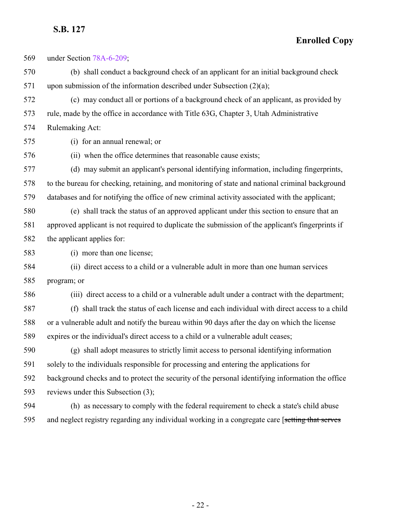**Enrolled Copy**

 under Section [78A-6-209](http://le.utah.gov/UtahCode/SectionLookup.jsp?section=78a-6-209&session=2021GS); (b) shall conduct a background check of an applicant for an initial background check 571 upon submission of the information described under Subsection  $(2)(a)$ ; (c) may conduct all or portions of a background check of an applicant, as provided by rule, made by the office in accordance with Title 63G, Chapter 3, Utah Administrative Rulemaking Act: (i) for an annual renewal; or (ii) when the office determines that reasonable cause exists; (d) may submit an applicant's personal identifying information, including fingerprints, to the bureau for checking, retaining, and monitoring of state and national criminal background databases and for notifying the office of new criminal activity associated with the applicant; (e) shall track the status of an approved applicant under this section to ensure that an approved applicant is not required to duplicate the submission of the applicant's fingerprints if the applicant applies for: (i) more than one license; (ii) direct access to a child or a vulnerable adult in more than one human services program; or (iii) direct access to a child or a vulnerable adult under a contract with the department; (f) shall track the status of each license and each individual with direct access to a child or a vulnerable adult and notify the bureau within 90 days after the day on which the license expires or the individual's direct access to a child or a vulnerable adult ceases; (g) shall adopt measures to strictly limit access to personal identifying information solely to the individuals responsible for processing and entering the applications for background checks and to protect the security of the personal identifying information the office reviews under this Subsection (3); (h) as necessary to comply with the federal requirement to check a state's child abuse 595 and neglect registry regarding any individual working in a congregate care [setting that serves]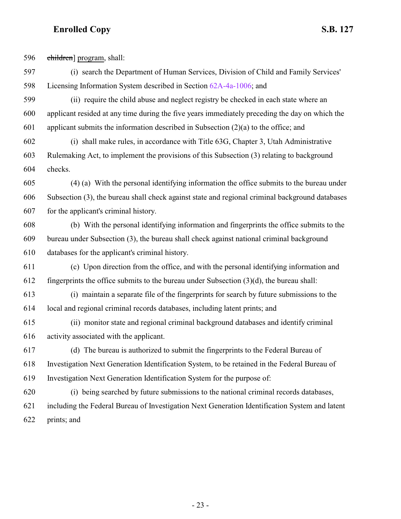children] program, shall:

- (i) search the Department of Human Services, Division of Child and Family Services' Licensing Information System described in Section [62A-4a-1006](http://le.utah.gov/UtahCode/SectionLookup.jsp?section=62a-4a-1006&session=2021GS); and
- (ii) require the child abuse and neglect registry be checked in each state where an applicant resided at any time during the five years immediately preceding the day on which the applicant submits the information described in Subsection (2)(a) to the office; and
- (i) shall make rules, in accordance with Title 63G, Chapter 3, Utah Administrative Rulemaking Act, to implement the provisions of this Subsection (3) relating to background checks.
- (4) (a) With the personal identifying information the office submits to the bureau under Subsection (3), the bureau shall check against state and regional criminal background databases for the applicant's criminal history.
- (b) With the personal identifying information and fingerprints the office submits to the bureau under Subsection (3), the bureau shall check against national criminal background databases for the applicant's criminal history.
- (c) Upon direction from the office, and with the personal identifying information and 612 fingerprints the office submits to the bureau under Subsection  $(3)(d)$ , the bureau shall:
- (i) maintain a separate file of the fingerprints for search by future submissions to the local and regional criminal records databases, including latent prints; and
- (ii) monitor state and regional criminal background databases and identify criminal activity associated with the applicant.
- (d) The bureau is authorized to submit the fingerprints to the Federal Bureau of Investigation Next Generation Identification System, to be retained in the Federal Bureau of Investigation Next Generation Identification System for the purpose of:
- (i) being searched by future submissions to the national criminal records databases, including the Federal Bureau of Investigation Next Generation Identification System and latent prints; and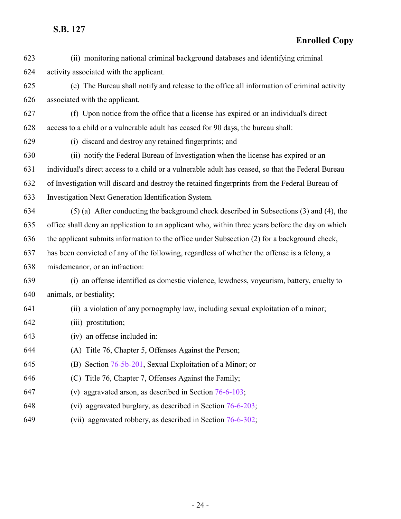| 623 | (ii) monitoring national criminal background databases and identifying criminal                    |
|-----|----------------------------------------------------------------------------------------------------|
| 624 | activity associated with the applicant.                                                            |
| 625 | (e) The Bureau shall notify and release to the office all information of criminal activity         |
| 626 | associated with the applicant.                                                                     |
| 627 | (f) Upon notice from the office that a license has expired or an individual's direct               |
| 628 | access to a child or a vulnerable adult has ceased for 90 days, the bureau shall:                  |
| 629 | (i) discard and destroy any retained fingerprints; and                                             |
| 630 | (ii) notify the Federal Bureau of Investigation when the license has expired or an                 |
| 631 | individual's direct access to a child or a vulnerable adult has ceased, so that the Federal Bureau |
| 632 | of Investigation will discard and destroy the retained fingerprints from the Federal Bureau of     |
| 633 | Investigation Next Generation Identification System.                                               |
| 634 | (5) (a) After conducting the background check described in Subsections (3) and (4), the            |
| 635 | office shall deny an application to an applicant who, within three years before the day on which   |
| 636 | the applicant submits information to the office under Subsection (2) for a background check,       |
| 637 | has been convicted of any of the following, regardless of whether the offense is a felony, a       |
| 638 | misdemeanor, or an infraction:                                                                     |
| 639 | (i) an offense identified as domestic violence, lewdness, voyeurism, battery, cruelty to           |
| 640 | animals, or bestiality;                                                                            |
| 641 | (ii) a violation of any pornography law, including sexual exploitation of a minor;                 |
| 642 | (iii) prostitution;                                                                                |
| 643 | (iv) an offense included in:                                                                       |
| 644 | (A) Title 76, Chapter 5, Offenses Against the Person;                                              |
| 645 | (B) Section 76-5b-201, Sexual Exploitation of a Minor; or                                          |
| 646 | Title 76, Chapter 7, Offenses Against the Family;<br>(C)                                           |
| 647 | (v) aggravated arson, as described in Section $76-6-103$ ;                                         |
| 648 | (vi) aggravated burglary, as described in Section $76-6-203$ ;                                     |
| 649 | (vii) aggravated robbery, as described in Section 76-6-302;                                        |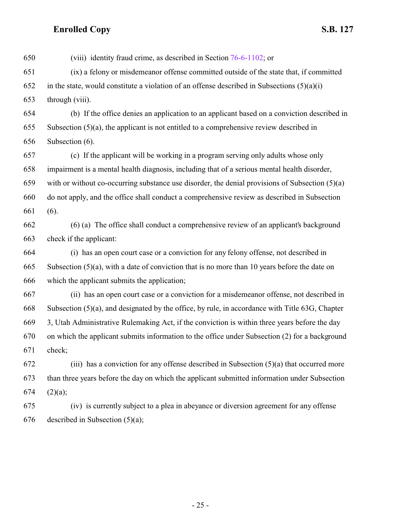(viii) identity fraud crime, as described in Section [76-6-1102](http://le.utah.gov/UtahCode/SectionLookup.jsp?section=76-6-1102&session=2021GS); or (ix) a felony or misdemeanor offense committed outside of the state that, if committed 652 in the state, would constitute a violation of an offense described in Subsections  $(5)(a)(i)$  through (viii). (b) If the office denies an application to an applicant based on a conviction described in Subsection (5)(a), the applicant is not entitled to a comprehensive review described in Subsection (6). (c) If the applicant will be working in a program serving only adults whose only impairment is a mental health diagnosis, including that of a serious mental health disorder, with or without co-occurring substance use disorder, the denial provisions of Subsection (5)(a) do not apply, and the office shall conduct a comprehensive review as described in Subsection (6). (6) (a) The office shall conduct a comprehensive review of an applicant's background check if the applicant: (i) has an open court case or a conviction for any felony offense, not described in Subsection (5)(a), with a date of conviction that is no more than 10 years before the date on which the applicant submits the application; (ii) has an open court case or a conviction for a misdemeanor offense, not described in Subsection (5)(a), and designated by the office, by rule, in accordance with Title 63G, Chapter 3, Utah Administrative Rulemaking Act, if the conviction is within three years before the day on which the applicant submits information to the office under Subsection (2) for a background check; (iii) has a conviction for any offense described in Subsection (5)(a) that occurred more than three years before the day on which the applicant submitted information under Subsection 674 (2)(a); (iv) is currently subject to a plea in abeyance or diversion agreement for any offense described in Subsection (5)(a);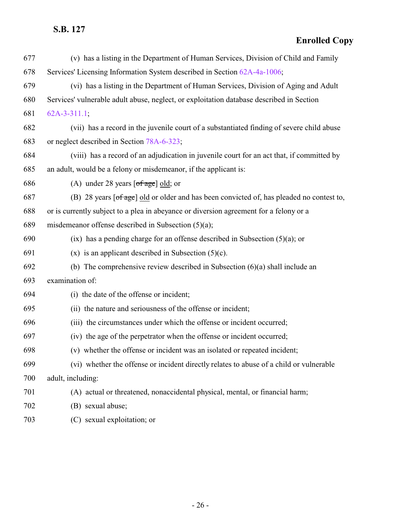## **Enrolled Copy**

| 677 | (v) has a listing in the Department of Human Services, Division of Child and Family                                                 |
|-----|-------------------------------------------------------------------------------------------------------------------------------------|
| 678 | Services' Licensing Information System described in Section 62A-4a-1006;                                                            |
| 679 | (vi) has a listing in the Department of Human Services, Division of Aging and Adult                                                 |
| 680 | Services' vulnerable adult abuse, neglect, or exploitation database described in Section                                            |
| 681 | $62A-3-311.1$ ;                                                                                                                     |
| 682 | (vii) has a record in the juvenile court of a substantiated finding of severe child abuse                                           |
| 683 | or neglect described in Section 78A-6-323;                                                                                          |
| 684 | (viii) has a record of an adjudication in juvenile court for an act that, if committed by                                           |
| 685 | an adult, would be a felony or misdemeanor, if the applicant is:                                                                    |
| 686 | (A) under 28 years $\lceil \text{of age} \rceil$ old; or                                                                            |
| 687 | (B) 28 years $\lceil \frac{\text{of age}}{\text{of age}} \rceil$ old or older and has been convicted of, has pleaded no contest to, |
| 688 | or is currently subject to a plea in abeyance or diversion agreement for a felony or a                                              |
| 689 | misdemeanor offense described in Subsection $(5)(a)$ ;                                                                              |
| 690 | $(ix)$ has a pending charge for an offense described in Subsection (5)(a); or                                                       |
| 691 | $(x)$ is an applicant described in Subsection (5)(c).                                                                               |
| 692 | (b) The comprehensive review described in Subsection $(6)(a)$ shall include an                                                      |
| 693 | examination of:                                                                                                                     |
| 694 | (i) the date of the offense or incident;                                                                                            |
| 695 | (ii) the nature and seriousness of the offense or incident;                                                                         |
| 696 | (iii) the circumstances under which the offense or incident occurred;                                                               |
| 697 | (iv) the age of the perpetrator when the offense or incident occurred;                                                              |
| 698 | (v) whether the offense or incident was an isolated or repeated incident;                                                           |
| 699 | (vi) whether the offense or incident directly relates to abuse of a child or vulnerable                                             |
| 700 | adult, including:                                                                                                                   |
| 701 | (A) actual or threatened, nonaccidental physical, mental, or financial harm;                                                        |
| 702 | (B) sexual abuse;                                                                                                                   |
|     |                                                                                                                                     |

(C) sexual exploitation; or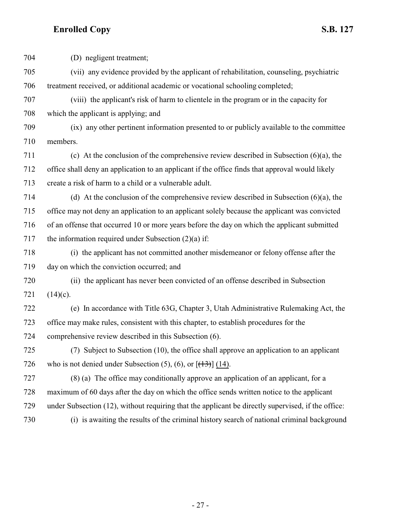(D) negligent treatment; (vii) any evidence provided by the applicant of rehabilitation, counseling, psychiatric treatment received, or additional academic or vocational schooling completed; (viii) the applicant's risk of harm to clientele in the program or in the capacity for which the applicant is applying; and (ix) any other pertinent information presented to or publicly available to the committee members. (c) At the conclusion of the comprehensive review described in Subsection (6)(a), the office shall deny an application to an applicant if the office finds that approval would likely create a risk of harm to a child or a vulnerable adult. (d) At the conclusion of the comprehensive review described in Subsection (6)(a), the office may not deny an application to an applicant solely because the applicant was convicted of an offense that occurred 10 or more years before the day on which the applicant submitted 717 the information required under Subsection  $(2)(a)$  if: (i) the applicant has not committed another misdemeanor or felony offense after the day on which the conviction occurred; and (ii) the applicant has never been convicted of an offense described in Subsection 721  $(14)(c)$ . (e) In accordance with Title 63G, Chapter 3, Utah Administrative Rulemaking Act, the office may make rules, consistent with this chapter, to establish procedures for the comprehensive review described in this Subsection (6). (7) Subject to Subsection (10), the office shall approve an application to an applicant 726 who is not denied under Subsection  $(5)$ ,  $(6)$ , or  $[(13)]$   $(14)$ . (8) (a) The office may conditionally approve an application of an applicant, for a maximum of 60 days after the day on which the office sends written notice to the applicant under Subsection (12), without requiring that the applicant be directly supervised, if the office: (i) is awaiting the results of the criminal history search of national criminal background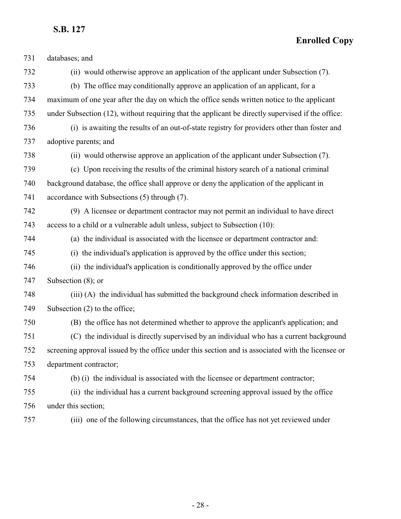| 731 | databases; and                                                                                    |
|-----|---------------------------------------------------------------------------------------------------|
| 732 | (ii) would otherwise approve an application of the applicant under Subsection (7).                |
| 733 | (b) The office may conditionally approve an application of an applicant, for a                    |
| 734 | maximum of one year after the day on which the office sends written notice to the applicant       |
| 735 | under Subsection (12), without requiring that the applicant be directly supervised if the office: |
| 736 | (i) is awaiting the results of an out-of-state registry for providers other than foster and       |
| 737 | adoptive parents; and                                                                             |
| 738 | (ii) would otherwise approve an application of the applicant under Subsection (7).                |
| 739 | (c) Upon receiving the results of the criminal history search of a national criminal              |
| 740 | background database, the office shall approve or deny the application of the applicant in         |
| 741 | accordance with Subsections (5) through (7).                                                      |
| 742 | (9) A licensee or department contractor may not permit an individual to have direct               |
| 743 | access to a child or a vulnerable adult unless, subject to Subsection (10):                       |
| 744 | (a) the individual is associated with the licensee or department contractor and:                  |
| 745 | (i) the individual's application is approved by the office under this section;                    |
| 746 | (ii) the individual's application is conditionally approved by the office under                   |
| 747 | Subsection $(8)$ ; or                                                                             |
| 748 | (iii) (A) the individual has submitted the background check information described in              |
| 749 | Subsection $(2)$ to the office;                                                                   |
| 750 | (B) the office has not determined whether to approve the applicant's application; and             |
| 751 | (C) the individual is directly supervised by an individual who has a current background           |
| 752 | screening approval issued by the office under this section and is associated with the licensee or |
| 753 | department contractor;                                                                            |
| 754 | (b) (i) the individual is associated with the licensee or department contractor;                  |
| 755 | (ii) the individual has a current background screening approval issued by the office              |
| 756 | under this section;                                                                               |
| 757 | (iii) one of the following circumstances, that the office has not yet reviewed under              |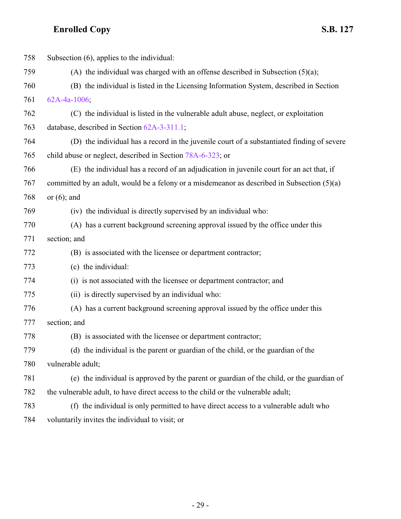| 758 | Subsection (6), applies to the individual:                                                    |
|-----|-----------------------------------------------------------------------------------------------|
| 759 | (A) the individual was charged with an offense described in Subsection $(5)(a)$ ;             |
| 760 | (B) the individual is listed in the Licensing Information System, described in Section        |
| 761 | 62A-4a-1006;                                                                                  |
| 762 | (C) the individual is listed in the vulnerable adult abuse, neglect, or exploitation          |
| 763 | database, described in Section 62A-3-311.1;                                                   |
| 764 | (D) the individual has a record in the juvenile court of a substantiated finding of severe    |
| 765 | child abuse or neglect, described in Section 78A-6-323; or                                    |
| 766 | (E) the individual has a record of an adjudication in juvenile court for an act that, if      |
| 767 | committed by an adult, would be a felony or a misdemeanor as described in Subsection $(5)(a)$ |
| 768 | or $(6)$ ; and                                                                                |
| 769 | (iv) the individual is directly supervised by an individual who:                              |
| 770 | (A) has a current background screening approval issued by the office under this               |
| 771 | section; and                                                                                  |
| 772 | (B) is associated with the licensee or department contractor;                                 |
| 773 | (c) the individual:                                                                           |
| 774 | (i) is not associated with the licensee or department contractor; and                         |
| 775 | (ii) is directly supervised by an individual who:                                             |
| 776 | (A) has a current background screening approval issued by the office under this               |
| 777 | section; and                                                                                  |
| 778 | (B) is associated with the licensee or department contractor;                                 |
| 779 | (d) the individual is the parent or guardian of the child, or the guardian of the             |
| 780 | vulnerable adult;                                                                             |
| 781 | (e) the individual is approved by the parent or guardian of the child, or the guardian of     |
| 782 | the vulnerable adult, to have direct access to the child or the vulnerable adult;             |
| 783 | (f) the individual is only permitted to have direct access to a vulnerable adult who          |
| 784 | voluntarily invites the individual to visit; or                                               |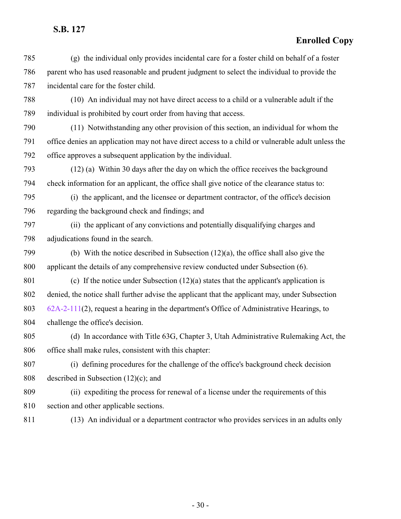#### **Enrolled Copy**

 (g) the individual only provides incidental care for a foster child on behalf of a foster parent who has used reasonable and prudent judgment to select the individual to provide the incidental care for the foster child.

 (10) An individual may not have direct access to a child or a vulnerable adult if the individual is prohibited by court order from having that access.

 (11) Notwithstanding any other provision of this section, an individual for whom the office denies an application may not have direct access to a child or vulnerable adult unless the office approves a subsequent application by the individual.

 (12) (a) Within 30 days after the day on which the office receives the background check information for an applicant, the office shall give notice of the clearance status to:

 (i) the applicant, and the licensee or department contractor, of the office's decision regarding the background check and findings; and

 (ii) the applicant of any convictions and potentially disqualifying charges and adjudications found in the search.

 (b) With the notice described in Subsection (12)(a), the office shall also give the applicant the details of any comprehensive review conducted under Subsection (6).

801 (c) If the notice under Subsection  $(12)(a)$  states that the applicant's application is denied, the notice shall further advise the applicant that the applicant may, under Subsection [62A-2-111](http://le.utah.gov/UtahCode/SectionLookup.jsp?section=62a-2-111&session=2021GS)(2), request a hearing in the department's Office of Administrative Hearings, to challenge the office's decision.

 (d) In accordance with Title 63G, Chapter 3, Utah Administrative Rulemaking Act, the office shall make rules, consistent with this chapter:

 (i) defining procedures for the challenge of the office's background check decision described in Subsection (12)(c); and

 (ii) expediting the process for renewal of a license under the requirements of this section and other applicable sections.

(13) An individual or a department contractor who provides services in an adults only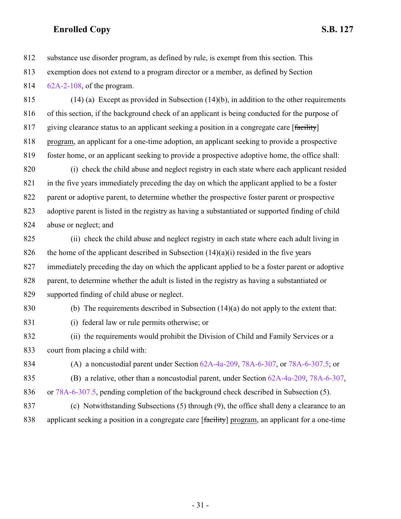substance use disorder program, as defined by rule, is exempt from this section. This

exemption does not extend to a program director or a member, as defined by Section

[62A-2-108](http://le.utah.gov/UtahCode/SectionLookup.jsp?section=62a-2-108&session=2021GS), of the program.

 (14) (a) Except as provided in Subsection (14)(b), in addition to the other requirements of this section, if the background check of an applicant is being conducted for the purpose of 817 giving clearance status to an applicant seeking a position in a congregate care [facility] program, an applicant for a one-time adoption, an applicant seeking to provide a prospective foster home, or an applicant seeking to provide a prospective adoptive home, the office shall:

 (i) check the child abuse and neglect registry in each state where each applicant resided in the five years immediately preceding the day on which the applicant applied to be a foster parent or adoptive parent, to determine whether the prospective foster parent or prospective adoptive parent is listed in the registry as having a substantiated or supported finding of child abuse or neglect; and

 (ii) check the child abuse and neglect registry in each state where each adult living in 826 the home of the applicant described in Subsection  $(14)(a)(i)$  resided in the five years immediately preceding the day on which the applicant applied to be a foster parent or adoptive parent, to determine whether the adult is listed in the registry as having a substantiated or supported finding of child abuse or neglect.

(b) The requirements described in Subsection (14)(a) do not apply to the extent that:

(i) federal law or rule permits otherwise; or

 (ii) the requirements would prohibit the Division of Child and Family Services or a court from placing a child with:

(A) a noncustodial parent under Section [62A-4a-209](http://le.utah.gov/UtahCode/SectionLookup.jsp?section=62a-4a-209&session=2021GS), [78A-6-307](http://le.utah.gov/UtahCode/SectionLookup.jsp?section=78a-6-307&session=2021GS), or [78A-6-307.5](http://le.utah.gov/UtahCode/SectionLookup.jsp?section=78a-6-307.5&session=2021GS); or

(B) a relative, other than a noncustodial parent, under Section [62A-4a-209](http://le.utah.gov/UtahCode/SectionLookup.jsp?section=62a-4a-209&session=2021GS), [78A-6-307](http://le.utah.gov/UtahCode/SectionLookup.jsp?section=78a-6-307&session=2021GS),

or [78A-6-307.5](http://le.utah.gov/UtahCode/SectionLookup.jsp?section=78a-6-307.5&session=2021GS), pending completion of the background check described in Subsection (5).

 (c) Notwithstanding Subsections (5) through (9), the office shall deny a clearance to an 838 applicant seeking a position in a congregate care [facility] program, an applicant for a one-time

- 31 -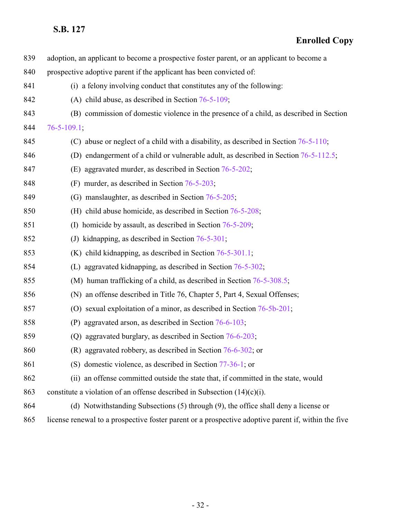| 839 | adoption, an applicant to become a prospective foster parent, or an applicant to become a           |
|-----|-----------------------------------------------------------------------------------------------------|
| 840 | prospective adoptive parent if the applicant has been convicted of:                                 |
| 841 | (i) a felony involving conduct that constitutes any of the following:                               |
| 842 | (A) child abuse, as described in Section $76-5-109$ ;                                               |
| 843 | (B) commission of domestic violence in the presence of a child, as described in Section             |
| 844 | $76 - 5 - 109.1$ ;                                                                                  |
| 845 | (C) abuse or neglect of a child with a disability, as described in Section $76-5-110$ ;             |
| 846 | (D) endangerment of a child or vulnerable adult, as described in Section 76-5-112.5;                |
| 847 | (E) aggravated murder, as described in Section 76-5-202;                                            |
| 848 | (F) murder, as described in Section $76-5-203$ ;                                                    |
| 849 | (G) manslaughter, as described in Section 76-5-205;                                                 |
| 850 | (H) child abuse homicide, as described in Section $76-5-208$ ;                                      |
| 851 | (I) homicide by assault, as described in Section $76-5-209$ ;                                       |
| 852 | (J) kidnapping, as described in Section $76-5-301$ ;                                                |
| 853 | $(K)$ child kidnapping, as described in Section 76-5-301.1;                                         |
| 854 | (L) aggravated kidnapping, as described in Section 76-5-302;                                        |
| 855 | (M) human trafficking of a child, as described in Section 76-5-308.5;                               |
| 856 | (N) an offense described in Title 76, Chapter 5, Part 4, Sexual Offenses;                           |
| 857 | (O) sexual exploitation of a minor, as described in Section 76-5b-201;                              |
| 858 | (P) aggravated arson, as described in Section $76-6-103$ ;                                          |
| 859 | (Q) aggravated burglary, as described in Section $76-6-203$ ;                                       |
| 860 | $(R)$ aggravated robbery, as described in Section 76-6-302; or                                      |
| 861 | (S) domestic violence, as described in Section $77-36-1$ ; or                                       |
| 862 | (ii) an offense committed outside the state that, if committed in the state, would                  |
| 863 | constitute a violation of an offense described in Subsection $(14)(c)(i)$ .                         |
| 864 | (d) Notwithstanding Subsections (5) through (9), the office shall deny a license or                 |
| 865 | license renewal to a prospective foster parent or a prospective adoptive parent if, within the five |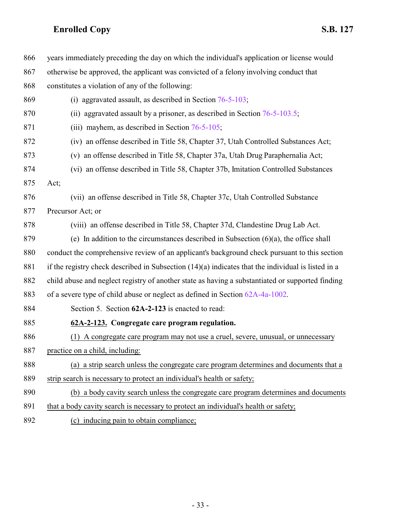<span id="page-32-0"></span>

| 866  | years immediately preceding the day on which the individual's application or license would           |
|------|------------------------------------------------------------------------------------------------------|
| 867  | otherwise be approved, the applicant was convicted of a felony involving conduct that                |
| 868  | constitutes a violation of any of the following:                                                     |
| 869  | (i) aggravated assault, as described in Section $76-5-103$ ;                                         |
| 870  | (ii) aggravated assault by a prisoner, as described in Section $76-5-103.5$ ;                        |
| 871  | (iii) mayhem, as described in Section $76-5-105$ ;                                                   |
| 872  | (iv) an offense described in Title 58, Chapter 37, Utah Controlled Substances Act;                   |
| 873  | (v) an offense described in Title 58, Chapter 37a, Utah Drug Paraphernalia Act;                      |
| 874  | (vi) an offense described in Title 58, Chapter 37b, Imitation Controlled Substances                  |
| 875  | Act;                                                                                                 |
| 876  | (vii) an offense described in Title 58, Chapter 37c, Utah Controlled Substance                       |
| 877  | Precursor Act; or                                                                                    |
| 878  | (viii) an offense described in Title 58, Chapter 37d, Clandestine Drug Lab Act.                      |
| 879  | (e) In addition to the circumstances described in Subsection $(6)(a)$ , the office shall             |
| 880  | conduct the comprehensive review of an applicant's background check pursuant to this section         |
| 881  | if the registry check described in Subsection $(14)(a)$ indicates that the individual is listed in a |
| 882  | child abuse and neglect registry of another state as having a substantiated or supported finding     |
| 883  | of a severe type of child abuse or neglect as defined in Section 62A-4a-1002.                        |
| 884  | Section 5. Section 62A-2-123 is enacted to read:                                                     |
| 885  | 62A-2-123. Congregate care program regulation.                                                       |
| 886  | A congregate care program may not use a cruel, severe, unusual, or unnecessary<br>(1)                |
| 887  | practice on a child, including:                                                                      |
| 888  | (a) a strip search unless the congregate care program determines and documents that a                |
| 889  | strip search is necessary to protect an individual's health or safety;                               |
| 890  | (b) a body cavity search unless the congregate care program determines and documents                 |
| 891  | that a body cavity search is necessary to protect an individual's health or safety;                  |
| 0.02 |                                                                                                      |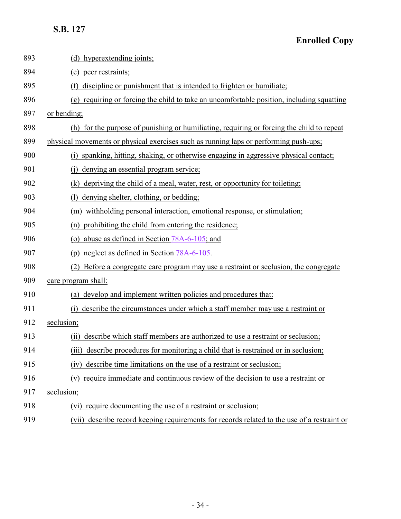| 893 | (d) hyperextending joints;                                                                  |
|-----|---------------------------------------------------------------------------------------------|
| 894 | (e) peer restraints;                                                                        |
| 895 | discipline or punishment that is intended to frighten or humiliate;<br>(f)                  |
| 896 | (g) requiring or forcing the child to take an uncomfortable position, including squatting   |
| 897 | or bending;                                                                                 |
| 898 | (h) for the purpose of punishing or humiliating, requiring or forcing the child to repeat   |
| 899 | physical movements or physical exercises such as running laps or performing push-ups;       |
| 900 | (i) spanking, hitting, shaking, or otherwise engaging in aggressive physical contact;       |
| 901 | denying an essential program service;                                                       |
| 902 | depriving the child of a meal, water, rest, or opportunity for toileting;<br>(k)            |
| 903 | denying shelter, clothing, or bedding;<br>(1)                                               |
| 904 | (m) withholding personal interaction, emotional response, or stimulation;                   |
| 905 | prohibiting the child from entering the residence;<br>(n)                                   |
| 906 | (o) abuse as defined in Section $78A-6-105$ ; and                                           |
| 907 | (p) neglect as defined in Section 78A-6-105.                                                |
| 908 | Before a congregate care program may use a restraint or seclusion, the congregate           |
| 909 | care program shall:                                                                         |
| 910 | (a) develop and implement written policies and procedures that:                             |
| 911 | describe the circumstances under which a staff member may use a restraint or<br>(i)         |
| 912 | seclusion;                                                                                  |
| 913 | describe which staff members are authorized to use a restraint or seclusion;<br>(i)         |
| 914 | describe procedures for monitoring a child that is restrained or in seclusion;<br>(111)     |
| 915 | describe time limitations on the use of a restraint or seclusion;<br>(iv)                   |
| 916 | require immediate and continuous review of the decision to use a restraint or<br>(v)        |
| 917 | seclusion;                                                                                  |
| 918 | require documenting the use of a restraint or seclusion;<br>(vi)                            |
| 919 | (vii) describe record keeping requirements for records related to the use of a restraint or |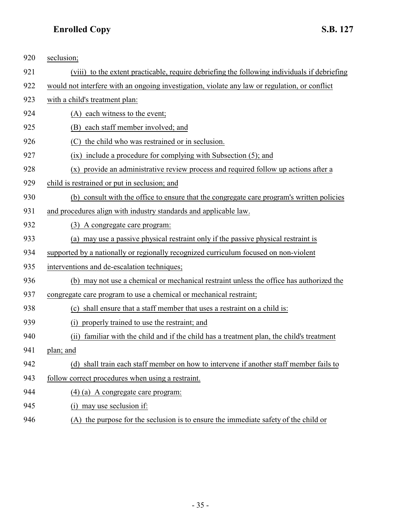| 920 | seclusion;                                                                                    |
|-----|-----------------------------------------------------------------------------------------------|
| 921 | (viii) to the extent practicable, require debriefing the following individuals if debriefing  |
| 922 | would not interfere with an ongoing investigation, violate any law or regulation, or conflict |
| 923 | with a child's treatment plan:                                                                |
| 924 | (A) each witness to the event;                                                                |
| 925 | each staff member involved; and<br>(B)                                                        |
| 926 | the child who was restrained or in seclusion.<br>(C)                                          |
| 927 | (ix) include a procedure for complying with Subsection (5); and                               |
| 928 | provide an administrative review process and required follow up actions after a<br>(x)        |
| 929 | child is restrained or put in seclusion; and                                                  |
| 930 | (b) consult with the office to ensure that the congregate care program's written policies     |
| 931 | and procedures align with industry standards and applicable law.                              |
| 932 | (3) A congregate care program:                                                                |
| 933 | (a) may use a passive physical restraint only if the passive physical restraint is            |
| 934 | supported by a nationally or regionally recognized curriculum focused on non-violent          |
| 935 | interventions and de-escalation techniques;                                                   |
| 936 | (b) may not use a chemical or mechanical restraint unless the office has authorized the       |
| 937 | congregate care program to use a chemical or mechanical restraint;                            |
| 938 | (c) shall ensure that a staff member that uses a restraint on a child is:                     |
| 939 | properly trained to use the restraint; and<br>(i)                                             |
| 940 | familiar with the child and if the child has a treatment plan, the child's treatment<br>(i)   |
| 941 | plan; and                                                                                     |
| 942 | (d) shall train each staff member on how to intervene if another staff member fails to        |
| 943 | follow correct procedures when using a restraint.                                             |
| 944 | $(4)$ (a) A congregate care program:                                                          |
| 945 | (i) may use seclusion if:                                                                     |

946 (A) the purpose for the seclusion is to ensure the immediate safety of the child or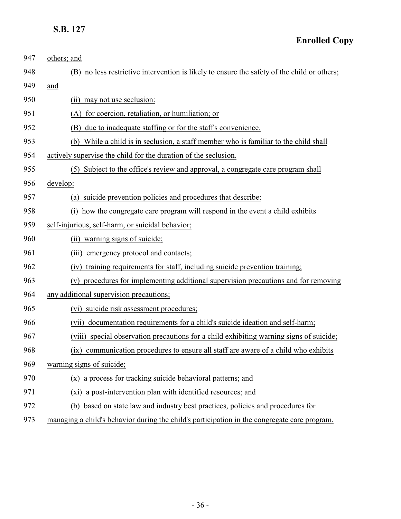| 947 | others; and                                                                                  |
|-----|----------------------------------------------------------------------------------------------|
| 948 | (B) no less restrictive intervention is likely to ensure the safety of the child or others;  |
| 949 | and                                                                                          |
| 950 | may not use seclusion:<br>(11)                                                               |
| 951 | for coercion, retaliation, or humiliation; or<br>(A)                                         |
| 952 | due to inadequate staffing or for the staff's convenience.<br>(B)                            |
| 953 | While a child is in seclusion, a staff member who is familiar to the child shall<br>(b)      |
| 954 | actively supervise the child for the duration of the seclusion.                              |
| 955 | Subject to the office's review and approval, a congregate care program shall<br>(5)          |
| 956 | develop:                                                                                     |
| 957 | suicide prevention policies and procedures that describe:<br>(a)                             |
| 958 | how the congregate care program will respond in the event a child exhibits<br>(i)            |
| 959 | self-injurious, self-harm, or suicidal behavior;                                             |
| 960 | (ii) warning signs of suicide;                                                               |
| 961 | emergency protocol and contacts;<br>(iii)                                                    |
| 962 | training requirements for staff, including suicide prevention training;<br>(iv)              |
| 963 | procedures for implementing additional supervision precautions and for removing<br>(v)       |
| 964 | any additional supervision precautions;                                                      |
| 965 | (vi) suicide risk assessment procedures;                                                     |
| 966 | documentation requirements for a child's suicide ideation and self-harm;<br>(vii)            |
| 967 | (viii) special observation precautions for a child exhibiting warning signs of suicide;      |
| 968 | communication procedures to ensure all staff are aware of a child who exhibits<br>(1X)       |
| 969 | warning signs of suicide;                                                                    |
| 970 | a process for tracking suicide behavioral patterns; and<br>(x)                               |
| 971 | (xi) a post-intervention plan with identified resources; and                                 |
| 972 | (b) based on state law and industry best practices, policies and procedures for              |
| 973 | managing a child's behavior during the child's participation in the congregate care program. |